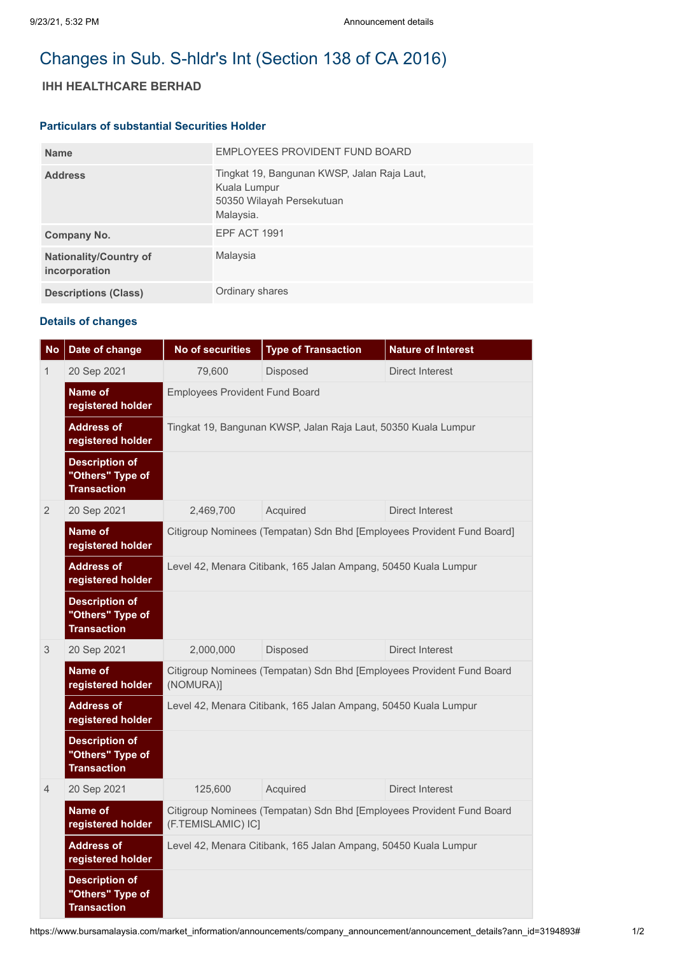# Changes in Sub. S-hldr's Int (Section 138 of CA 2016)

# **IHH HEALTHCARE BERHAD**

### **Particulars of substantial Securities Holder**

| <b>Name</b>                                    | EMPLOYEES PROVIDENT FUND BOARD                                                                        |
|------------------------------------------------|-------------------------------------------------------------------------------------------------------|
| <b>Address</b>                                 | Tingkat 19, Bangunan KWSP, Jalan Raja Laut,<br>Kuala Lumpur<br>50350 Wilayah Persekutuan<br>Malaysia. |
| Company No.                                    | EPF ACT 1991                                                                                          |
| <b>Nationality/Country of</b><br>incorporation | Malaysia                                                                                              |
| <b>Descriptions (Class)</b>                    | Ordinary shares                                                                                       |

# **Details of changes**

| <b>No</b>      | Date of change                                                  | <b>No of securities</b>                                                                     | <b>Type of Transaction</b> | <b>Nature of Interest</b> |  |  |
|----------------|-----------------------------------------------------------------|---------------------------------------------------------------------------------------------|----------------------------|---------------------------|--|--|
| 1              | 20 Sep 2021                                                     | 79,600                                                                                      | Disposed                   | <b>Direct Interest</b>    |  |  |
|                | Name of<br>registered holder                                    | <b>Employees Provident Fund Board</b>                                                       |                            |                           |  |  |
|                | <b>Address of</b><br>registered holder                          | Tingkat 19, Bangunan KWSP, Jalan Raja Laut, 50350 Kuala Lumpur                              |                            |                           |  |  |
|                | <b>Description of</b><br>"Others" Type of<br><b>Transaction</b> |                                                                                             |                            |                           |  |  |
| $\overline{2}$ | 20 Sep 2021                                                     | 2,469,700                                                                                   | Acquired                   | <b>Direct Interest</b>    |  |  |
|                | Name of<br>registered holder                                    | Citigroup Nominees (Tempatan) Sdn Bhd [Employees Provident Fund Board]                      |                            |                           |  |  |
|                | <b>Address of</b><br>registered holder                          | Level 42, Menara Citibank, 165 Jalan Ampang, 50450 Kuala Lumpur                             |                            |                           |  |  |
|                | <b>Description of</b><br>"Others" Type of<br><b>Transaction</b> |                                                                                             |                            |                           |  |  |
| 3              | 20 Sep 2021                                                     | 2,000,000                                                                                   | Disposed                   | Direct Interest           |  |  |
|                | Name of<br>registered holder                                    | Citigroup Nominees (Tempatan) Sdn Bhd [Employees Provident Fund Board<br>(NOMURA)]          |                            |                           |  |  |
|                | <b>Address of</b><br>registered holder                          | Level 42, Menara Citibank, 165 Jalan Ampang, 50450 Kuala Lumpur                             |                            |                           |  |  |
|                | <b>Description of</b><br>"Others" Type of<br><b>Transaction</b> |                                                                                             |                            |                           |  |  |
| $\overline{4}$ | 20 Sep 2021                                                     | 125,600                                                                                     | Acquired                   | Direct Interest           |  |  |
|                | Name of<br>registered holder                                    | Citigroup Nominees (Tempatan) Sdn Bhd [Employees Provident Fund Board<br>(F.TEMISLAMIC) IC] |                            |                           |  |  |
|                | <b>Address of</b><br>registered holder                          | Level 42, Menara Citibank, 165 Jalan Ampang, 50450 Kuala Lumpur                             |                            |                           |  |  |
|                | <b>Description of</b><br>"Others" Type of<br><b>Transaction</b> |                                                                                             |                            |                           |  |  |